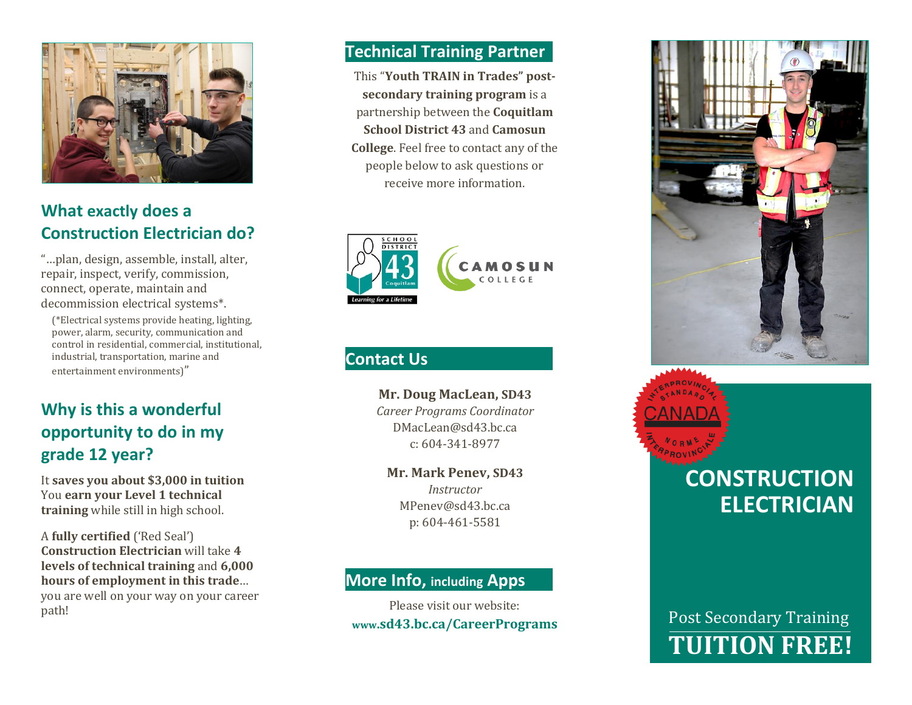

## **What exactly does a Construction Electrician do?**

"…plan, design, assemble, install, alter, repair, inspect, verify, commission, connect, operate, maintain and decommission electrical systems\*.

(\*Electrical systems provide heating, lighting, power, alarm, security, communication and control in residential, commercial, institutional, industrial, transportation, marine and entertainment environments)"

# **Why is this a wonderful opportunity to do in my grade 12 year?**

It **saves you about \$3,000 in tuition** You **earn your Level 1 technical training** while still in high school.

A **fully certified** ('Red Seal') **Construction Electrician** will take **4 levels of technical training** and **6,000 hours of employment in this trade**… you are well on your way on your career path!

#### **Technical Training Partner**

This "**Youth TRAIN in Trades" postsecondary training program** is a partnership between the **Coquitlam School District 43** and **Camosun College**. Feel free to contact any of the people below to ask questions or receive more information.



#### **Contact Us**

**Mr. Doug MacLean, SD43** *Career Programs Coordinator* DMacLean@sd43.bc.ca c: 604-341-8977

**Mr. Mark Penev, SD43** *Instructor*

MPenev@sd43.bc.ca p: 604-461-5581

#### **More Info, including Apps**

Please visit our website: **www.sd43.bc.ca/CareerPrograms**



# **CONSTRUCTION ELECTRICIAN**